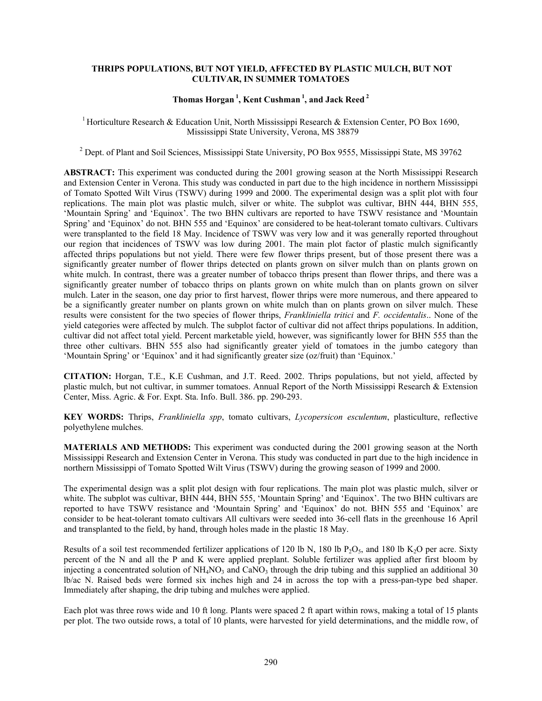## **THRIPS POPULATIONS, BUT NOT YIELD, AFFECTED BY PLASTIC MULCH, BUT NOT CULTIVAR, IN SUMMER TOMATOES**

## **Thomas Horgan 1, Kent Cushman 1, and Jack Reed 2**

<sup>1</sup> Horticulture Research & Education Unit, North Mississippi Research & Extension Center, PO Box 1690, Mississippi State University, Verona, MS 38879

<sup>2</sup> Dept. of Plant and Soil Sciences, Mississippi State University, PO Box 9555, Mississippi State, MS 39762

**ABSTRACT:** This experiment was conducted during the 2001 growing season at the North Mississippi Research and Extension Center in Verona. This study was conducted in part due to the high incidence in northern Mississippi of Tomato Spotted Wilt Virus (TSWV) during 1999 and 2000. The experimental design was a split plot with four replications. The main plot was plastic mulch, silver or white. The subplot was cultivar, BHN 444, BHN 555, 'Mountain Spring' and 'Equinox'. The two BHN cultivars are reported to have TSWV resistance and 'Mountain Spring' and 'Equinox' do not. BHN 555 and 'Equinox' are considered to be heat-tolerant tomato cultivars. Cultivars were transplanted to the field 18 May. Incidence of TSWV was very low and it was generally reported throughout our region that incidences of TSWV was low during 2001. The main plot factor of plastic mulch significantly affected thrips populations but not yield. There were few flower thrips present, but of those present there was a significantly greater number of flower thrips detected on plants grown on silver mulch than on plants grown on white mulch. In contrast, there was a greater number of tobacco thrips present than flower thrips, and there was a significantly greater number of tobacco thrips on plants grown on white mulch than on plants grown on silver mulch. Later in the season, one day prior to first harvest, flower thrips were more numerous, and there appeared to be a significantly greater number on plants grown on white mulch than on plants grown on silver mulch. These results were consistent for the two species of flower thrips, *Frankliniella tritici* and *F. occidentalis*.. None of the yield categories were affected by mulch. The subplot factor of cultivar did not affect thrips populations. In addition, cultivar did not affect total yield. Percent marketable yield, however, was significantly lower for BHN 555 than the three other cultivars. BHN 555 also had significantly greater yield of tomatoes in the jumbo category than 'Mountain Spring' or 'Equinox' and it had significantly greater size (oz/fruit) than 'Equinox.'

**CITATION:** Horgan, T.E., K.E Cushman, and J.T. Reed. 2002. Thrips populations, but not yield, affected by plastic mulch, but not cultivar, in summer tomatoes. Annual Report of the North Mississippi Research & Extension Center, Miss. Agric. & For. Expt. Sta. Info. Bull. 386. pp. 290-293.

**KEY WORDS:** Thrips, *Frankliniella spp*, tomato cultivars, *Lycopersicon esculentum*, plasticulture, reflective polyethylene mulches.

**MATERIALS AND METHODS:** This experiment was conducted during the 2001 growing season at the North Mississippi Research and Extension Center in Verona. This study was conducted in part due to the high incidence in northern Mississippi of Tomato Spotted Wilt Virus (TSWV) during the growing season of 1999 and 2000.

The experimental design was a split plot design with four replications. The main plot was plastic mulch, silver or white. The subplot was cultivar, BHN 444, BHN 555, 'Mountain Spring' and 'Equinox'. The two BHN cultivars are reported to have TSWV resistance and 'Mountain Spring' and 'Equinox' do not. BHN 555 and 'Equinox' are consider to be heat-tolerant tomato cultivars All cultivars were seeded into 36-cell flats in the greenhouse 16 April and transplanted to the field, by hand, through holes made in the plastic 18 May.

Results of a soil test recommended fertilizer applications of 120 lb N, 180 lb P<sub>2</sub>O<sub>5</sub>, and 180 lb K<sub>2</sub>O per acre. Sixty percent of the N and all the P and K were applied preplant. Soluble fertilizer was applied after first bloom by injecting a concentrated solution of  $NH<sub>4</sub>NO<sub>3</sub>$  and CaNO<sub>3</sub> through the drip tubing and this supplied an additional 30 lb/ac N. Raised beds were formed six inches high and 24 in across the top with a press-pan-type bed shaper. Immediately after shaping, the drip tubing and mulches were applied.

Each plot was three rows wide and 10 ft long. Plants were spaced 2 ft apart within rows, making a total of 15 plants per plot. The two outside rows, a total of 10 plants, were harvested for yield determinations, and the middle row, of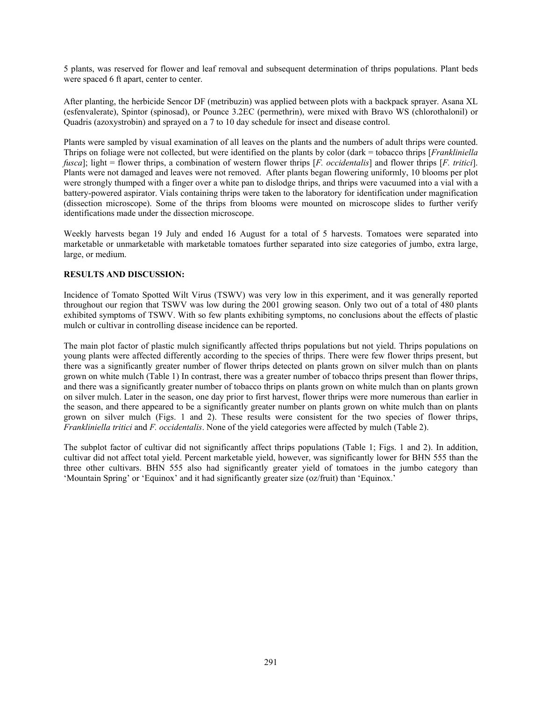5 plants, was reserved for flower and leaf removal and subsequent determination of thrips populations. Plant beds were spaced 6 ft apart, center to center.

After planting, the herbicide Sencor DF (metribuzin) was applied between plots with a backpack sprayer. Asana XL (esfenvalerate), Spintor (spinosad), or Pounce 3.2EC (permethrin), were mixed with Bravo WS (chlorothalonil) or Quadris (azoxystrobin) and sprayed on a 7 to 10 day schedule for insect and disease control.

Plants were sampled by visual examination of all leaves on the plants and the numbers of adult thrips were counted. Thrips on foliage were not collected, but were identified on the plants by color (dark = tobacco thrips [*Frankliniella fusca*]; light = flower thrips, a combination of western flower thrips [*F. occidentalis*] and flower thrips [*F. tritici*]. Plants were not damaged and leaves were not removed. After plants began flowering uniformly, 10 blooms per plot were strongly thumped with a finger over a white pan to dislodge thrips, and thrips were vacuumed into a vial with a battery-powered aspirator. Vials containing thrips were taken to the laboratory for identification under magnification (dissection microscope). Some of the thrips from blooms were mounted on microscope slides to further verify identifications made under the dissection microscope.

Weekly harvests began 19 July and ended 16 August for a total of 5 harvests. Tomatoes were separated into marketable or unmarketable with marketable tomatoes further separated into size categories of jumbo, extra large, large, or medium.

## **RESULTS AND DISCUSSION:**

Incidence of Tomato Spotted Wilt Virus (TSWV) was very low in this experiment, and it was generally reported throughout our region that TSWV was low during the 2001 growing season. Only two out of a total of 480 plants exhibited symptoms of TSWV. With so few plants exhibiting symptoms, no conclusions about the effects of plastic mulch or cultivar in controlling disease incidence can be reported.

The main plot factor of plastic mulch significantly affected thrips populations but not yield. Thrips populations on young plants were affected differently according to the species of thrips. There were few flower thrips present, but there was a significantly greater number of flower thrips detected on plants grown on silver mulch than on plants grown on white mulch (Table 1) In contrast, there was a greater number of tobacco thrips present than flower thrips, and there was a significantly greater number of tobacco thrips on plants grown on white mulch than on plants grown on silver mulch. Later in the season, one day prior to first harvest, flower thrips were more numerous than earlier in the season, and there appeared to be a significantly greater number on plants grown on white mulch than on plants grown on silver mulch (Figs. 1 and 2). These results were consistent for the two species of flower thrips, *Frankliniella tritici* and *F. occidentalis*. None of the yield categories were affected by mulch (Table 2).

The subplot factor of cultivar did not significantly affect thrips populations (Table 1; Figs. 1 and 2). In addition, cultivar did not affect total yield. Percent marketable yield, however, was significantly lower for BHN 555 than the three other cultivars. BHN 555 also had significantly greater yield of tomatoes in the jumbo category than 'Mountain Spring' or 'Equinox' and it had significantly greater size (oz/fruit) than 'Equinox.'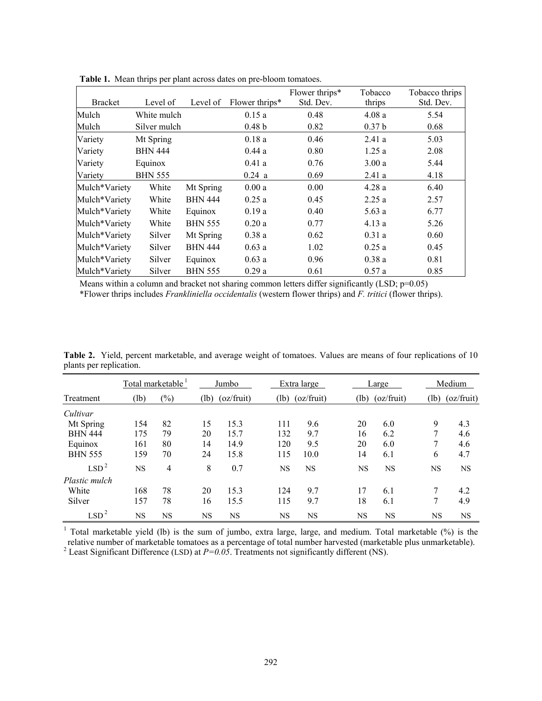| <b>Bracket</b> | Level of       | Level of       | Flower thrips*    | Flower thrips*<br>Std. Dev. | Tobacco<br>thrips | Tobacco thrips<br>Std. Dev. |
|----------------|----------------|----------------|-------------------|-----------------------------|-------------------|-----------------------------|
| Mulch          | White mulch    |                | 0.15a             | 0.48                        | 4.08a             | 5.54                        |
| Mulch          | Silver mulch   |                | 0.48 <sub>b</sub> | 0.82                        | 0.37 <sub>b</sub> | 0.68                        |
| Variety        | Mt Spring      |                | 0.18a             | 0.46                        | 2.41a             | 5.03                        |
| Variety        | <b>BHN 444</b> |                | 0.44a             | 0.80                        | 1.25a             | 2.08                        |
| Variety        | Equinox        |                | 0.41a             | 0.76                        | 3.00a             | 5.44                        |
| Variety        | <b>BHN 555</b> |                | 0.24 a            | 0.69                        | 2.41a             | 4.18                        |
| Mulch*Variety  | White          | Mt Spring      | 0.00a             | 0.00                        | 4.28a             | 6.40                        |
| Mulch*Variety  | White          | <b>BHN 444</b> | 0.25a             | 0.45                        | 2.25a             | 2.57                        |
| Mulch*Variety  | White          | Equinox        | 0.19a             | 0.40                        | 5.63a             | 6.77                        |
| Mulch*Variety  | White          | <b>BHN 555</b> | 0.20a             | 0.77                        | 4.13a             | 5.26                        |
| Mulch*Variety  | Silver         | Mt Spring      | 0.38a             | 0.62                        | 0.31a             | 0.60                        |
| Mulch*Variety  | Silver         | <b>BHN 444</b> | 0.63a             | 1.02                        | 0.25a             | 0.45                        |
| Mulch*Variety  | Silver         | Equinox        | 0.63a             | 0.96                        | 0.38a             | 0.81                        |
| Mulch*Variety  | Silver         | <b>BHN 555</b> | 0.29a             | 0.61                        | 0.57a             | 0.85                        |

**Table 1.** Mean thrips per plant across dates on pre-bloom tomatoes.

Means within a column and bracket not sharing common letters differ significantly (LSD; p=0.05) \*Flower thrips includes *Frankliniella occidentalis* (western flower thrips) and *F. tritici* (flower thrips).

| Table 2. Yield, percent marketable, and average weight of tomatoes. Values are means of four replications of 10 |  |  |  |  |  |
|-----------------------------------------------------------------------------------------------------------------|--|--|--|--|--|
| plants per replication.                                                                                         |  |  |  |  |  |

|                  | Total marketable |           | Jumbo     |            | Extra large |                   | Large     |            | Medium    |            |
|------------------|------------------|-----------|-----------|------------|-------------|-------------------|-----------|------------|-----------|------------|
| Treatment        | (lb)             | $(\%)$    | (lb)      | (oz/fruit) |             | $(lb)$ (oz/fruit) | (lb)      | (oz/fruit) | (lb)      | (oz/fruit) |
| Cultivar         |                  |           |           |            |             |                   |           |            |           |            |
| Mt Spring        | 154              | 82        | 15        | 15.3       | 111         | 9.6               | 20        | 6.0        | 9         | 4.3        |
| <b>BHN 444</b>   | 175              | 79        | 20        | 15.7       | 132         | 9.7               | 16        | 6.2        |           | 4.6        |
| Equinox          | 161              | 80        | 14        | 14.9       | 120         | 9.5               | 20        | 6.0        |           | 4.6        |
| <b>BHN 555</b>   | 159              | 70        | 24        | 15.8       | 115         | 10.0              | 14        | 6.1        | 6         | 4.7        |
| LSD <sup>2</sup> | <b>NS</b>        | 4         | 8         | 0.7        | <b>NS</b>   | <b>NS</b>         | <b>NS</b> | <b>NS</b>  | <b>NS</b> | <b>NS</b>  |
| Plastic mulch    |                  |           |           |            |             |                   |           |            |           |            |
| White            | 168              | 78        | 20        | 15.3       | 124         | 9.7               | 17        | 6.1        | 7         | 4.2        |
| Silver           | 157              | 78        | 16        | 15.5       | 115         | 9.7               | 18        | 6.1        | 7         | 4.9        |
| LSD <sup>2</sup> | <b>NS</b>        | <b>NS</b> | <b>NS</b> | <b>NS</b>  | <b>NS</b>   | <b>NS</b>         | <b>NS</b> | <b>NS</b>  | <b>NS</b> | <b>NS</b>  |

<sup>1</sup> Total marketable yield (lb) is the sum of jumbo, extra large, large, and medium. Total marketable (%) is the relative number of marketable tomatoes as a percentage of total number harvested (marketable plus unmarketable).<br><sup>2</sup> Least Significant Difference (LSD) at *P=0.05*. Treatments not significantly different (NS).